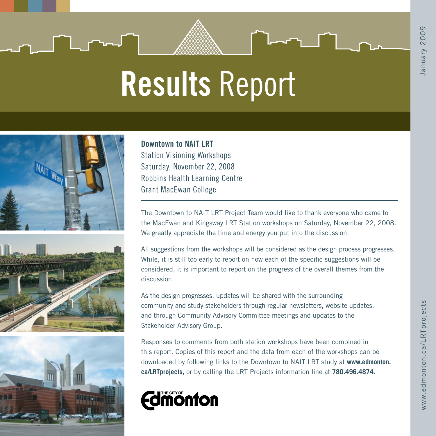# Results Report







Downtown to NAIT LRT Station Visioning Workshops Saturday, November 22, 2008 Robbins Health Learning Centre Grant MacEwan College

The Downtown to NAIT LRT Project Team would like to thank everyone who came to the MacEwan and Kingsway LRT Station workshops on Saturday, November 22, 2008. We greatly appreciate the time and energy you put into the discussion.

All suggestions from the workshops will be considered as the design process progresses. While, it is still too early to report on how each of the specific suggestions will be considered, it is important to report on the progress of the overall themes from the discussion.

As the design progresses, updates will be shared with the surrounding community and study stakeholders through regular newsletters, website updates, and through Community Advisory Committee meetings and updates to the Stakeholder Advisory Group.

Responses to comments from both station workshops have been combined in this report. Copies of this report and the data from each of the workshops can be downloaded by following links to the Downtown to NAIT LRT study at **www.edmonton. ca/LRTprojects,** or by calling the LRT Projects information line at **780.496.4874.**

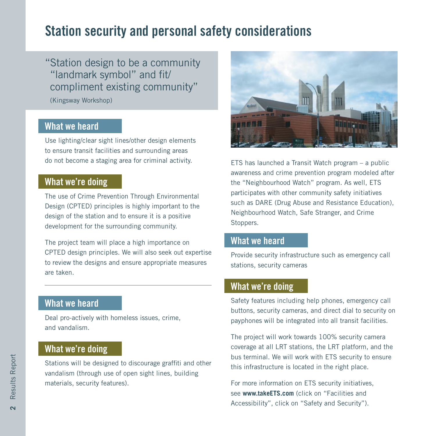# Station security and personal safety considerations

"Station design to be a community "landmark symbol" and fit/ compliment existing community"

(Kingsway Workshop)

# What we heard

Use lighting/clear sight lines/other design elements to ensure transit facilities and surrounding areas do not become a staging area for criminal activity.

#### What we're doing

The use of Crime Prevention Through Environmental Design (CPTED) principles is highly important to the design of the station and to ensure it is a positive development for the surrounding community.

The project team will place a high importance on CPTED design principles. We will also seek out expertise to review the designs and ensure appropriate measures are taken.

# What we heard

Deal pro-actively with homeless issues, crime, and vandalism.

#### What we're doing

Stations will be designed to discourage graffiti and other vandalism (through use of open sight lines, building materials, security features).



ETS has launched a Transit Watch program – a public awareness and crime prevention program modeled after the "Neighbourhood Watch" program. As well, ETS participates with other community safety initiatives such as DARE (Drug Abuse and Resistance Education), Neighbourhood Watch, Safe Stranger, and Crime Stoppers.

#### What we heard

Provide security infrastructure such as emergency call stations, security cameras

#### What we're doing

Safety features including help phones, emergency call buttons, security cameras, and direct dial to security on payphones will be integrated into all transit facilities.

The project will work towards 100% security camera coverage at all LRT stations, the LRT platform, and the bus terminal. We will work with ETS security to ensure this infrastructure is located in the right place.

For more information on ETS security initiatives, see **www.takeETS.com** (click on "Facilities and Accessibility", click on "Safety and Security").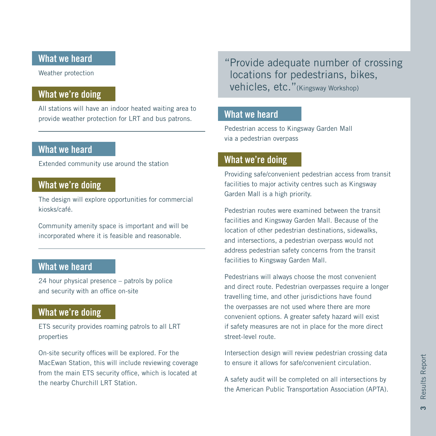## What we heard

Weather protection

# What we're doing

All stations will have an indoor heated waiting area to provide weather protection for LRT and bus patrons.

# What we heard

Extended community use around the station

#### What we're doing

The design will explore opportunities for commercial kiosks/café.

Community amenity space is important and will be incorporated where it is feasible and reasonable.

# What we heard

24 hour physical presence – patrols by police and security with an office on-site

#### What we're doing

ETS security provides roaming patrols to all LRT properties

On-site security offices will be explored. For the MacEwan Station, this will include reviewing coverage from the main ETS security office, which is located at the nearby Churchill LRT Station.

"Provide adequate number of crossing locations for pedestrians, bikes, vehicles, etc."(Kingsway Workshop)

#### What we heard

Pedestrian access to Kingsway Garden Mall via a pedestrian overpass

#### What we're doing

Providing safe/convenient pedestrian access from transit facilities to major activity centres such as Kingsway Garden Mall is a high priority.

Pedestrian routes were examined between the transit facilities and Kingsway Garden Mall. Because of the location of other pedestrian destinations, sidewalks, and intersections, a pedestrian overpass would not address pedestrian safety concerns from the transit facilities to Kingsway Garden Mall.

Pedestrians will always choose the most convenient and direct route. Pedestrian overpasses require a longer travelling time, and other jurisdictions have found the overpasses are not used where there are more convenient options. A greater safety hazard will exist if safety measures are not in place for the more direct street-level route.

Intersection design will review pedestrian crossing data to ensure it allows for safe/convenient circulation.

A safety audit will be completed on all intersections by the American Public Transportation Association (APTA).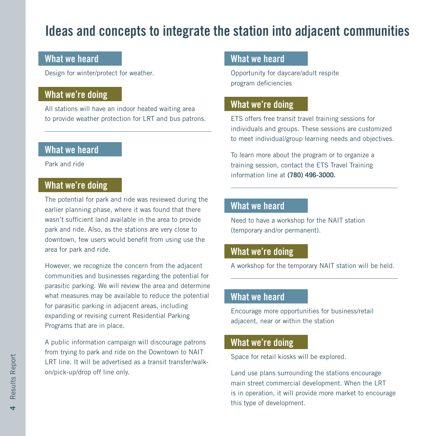# Ideas and concepts to integrate the station into adjacent communities

#### What we heard

Design for winter/protect for weather.

# What we're doing

All stations will have an indoor heated waiting area to provide weather protection for LRT and bus patrons.

# What we heard

Park and ride

# What we're doing

The potential for park and ride was reviewed during the earlier planning phase, where it was found that there wasn't sufficient land available in the area to provide park and ride. Also, as the stations are very close to downtown, few users would benefit from using use the area for park and ride.

However, we recognize the concern from the adjacent communities and businesses regarding the potential for parasitic parking. We will review the area and determine what measures may be available to reduce the potential for parasitic parking in adjacent areas, including expanding or revising current Residential Parking Programs that are in place.

A public information campaign will discourage patrons from trying to park and ride on the Downtown to NAIT LRT line. It will be advertised as a transit transfer/walkon/pick-up/drop off line only.

#### What we heard

Opportunity for daycare/adult respite program deficiencies

#### What we're doing

ETS offers free transit travel training sessions for individuals and groups. These sessions are customized to meet individual/group learning needs and objectives.

To learn more about the program or to organize a training session, contact the ETS Travel Training information line at **(780) 496-3000.**

#### What we heard

Need to have a workshop for the NAIT station (temporary and/or permanent).

#### What we're doing

A workshop for the temporary NAIT station will be held.

#### What we heard

Encourage more opportunities for business/retail adjacent, near or within the station

#### What we're doing

Space for retail kiosks will be explored.

Land use plans surrounding the stations encourage main street commercial development. When the LRT is in operation, it will provide more market to encourage this type of development.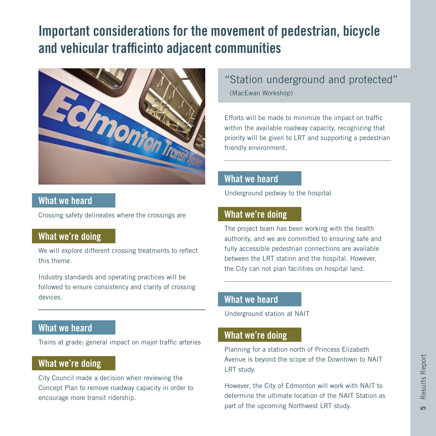# Important considerations for the movement of pedestrian, bicycle and vehicular trafficinto adjacent communities



#### What we heard

Crossing safety delineates where the crossings are

# What we're doing

We will explore different crossing treatments to reflect this theme.

Industry standards and operating practices will be followed to ensure consistency and clarity of crossing devices.

# What we heard

Trains at grade: general impact on major traffic arteries

#### What we're doing

City Council made a decision when reviewing the Concept Plan to remove roadway capacity in order to encourage more transit ridership.

"Station underground and protected" (MacEwan Workshop)

Efforts will be made to minimize the impact on traffic within the available roadway capacity, recognizing that priority will be given to LRT and supporting a pedestrian friendly environment.

#### What we heard

Underground pedway to the hospital

#### What we're doing

The project team has been working with the health authority, and we are committed to ensuring safe and fully accessible pedestrian connections are available between the LRT station and the hospital. However, the City can not plan facilities on hospital land.

#### What we heard

Underground station at NAIT

#### What we're doing

Planning for a station north of Princess Elizabeth Avenue is beyond the scope of the Downtown to NAIT LRT study.

However, the City of Edmonton will work with NAIT to determine the ultimate location of the NAIT Station as part of the upcoming Northwest LRT study.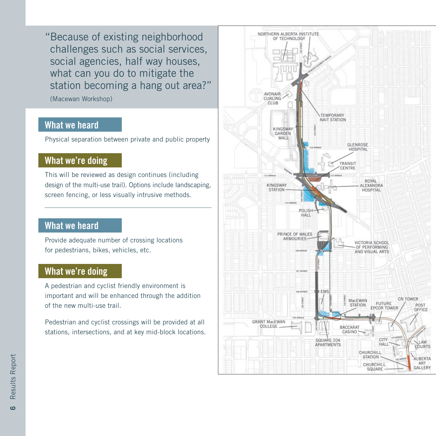"Because of existing neighborhood challenges such as social services, social agencies, half way houses, what can you do to mitigate the station becoming a hang out area?"

(Macewan Workshop)

# What we heard

Physical separation between private and public property

# What we're doing

This will be reviewed as design continues (including design of the multi-use trail). Options include landscaping, screen fencing, or less visually intrusive methods.

# What we heard

Provide adequate number of crossing locations for pedestrians, bikes, vehicles, etc.

# What we're doing

A pedestrian and cyclist friendly environment is important and will be enhanced through the addition of the new multi-use trail.

Pedestrian and cyclist crossings will be provided at all stations, intersections, and at key mid-block locations.

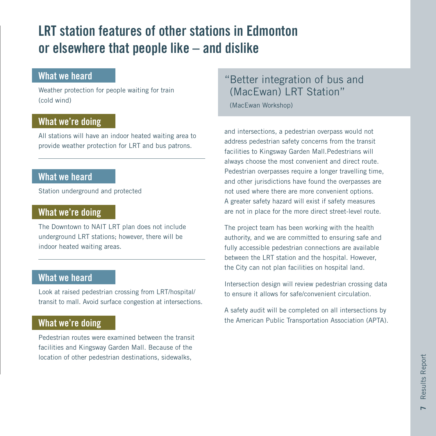# LRT station features of other stations in Edmonton or elsewhere that people like – and dislike

#### What we heard

Weather protection for people waiting for train (cold wind)

## What we're doing

All stations will have an indoor heated waiting area to provide weather protection for LRT and bus patrons.

#### What we heard

Station underground and protected

#### What we're doing

The Downtown to NAIT LRT plan does not include underground LRT stations; however, there will be indoor heated waiting areas.

## What we heard

Look at raised pedestrian crossing from LRT/hospital/ transit to mall. Avoid surface congestion at intersections.

# What we're doing

Pedestrian routes were examined between the transit facilities and Kingsway Garden Mall. Because of the location of other pedestrian destinations, sidewalks,

# "Better integration of bus and (MacEwan) LRT Station"

(MacEwan Workshop)

and intersections, a pedestrian overpass would not address pedestrian safety concerns from the transit facilities to Kingsway Garden Mall.Pedestrians will always choose the most convenient and direct route. Pedestrian overpasses require a longer travelling time, and other jurisdictions have found the overpasses are not used where there are more convenient options. A greater safety hazard will exist if safety measures are not in place for the more direct street-level route.

The project team has been working with the health authority, and we are committed to ensuring safe and fully accessible pedestrian connections are available between the LRT station and the hospital. However, the City can not plan facilities on hospital land.

Intersection design will review pedestrian crossing data to ensure it allows for safe/convenient circulation.

A safety audit will be completed on all intersections by the American Public Transportation Association (APTA).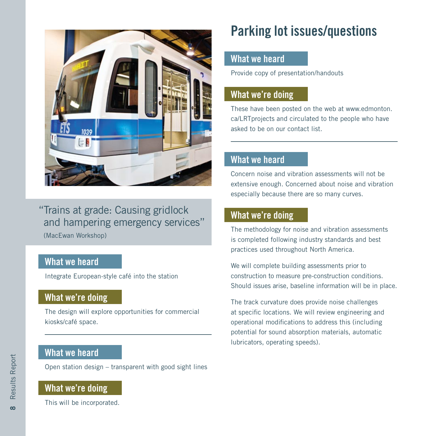

"Trains at grade: Causing gridlock and hampering emergency services" (MacEwan Workshop)

# What we heard

Integrate European-style café into the station

# What we're doing

The design will explore opportunities for commercial kiosks/café space.

# What we heard

Open station design – transparent with good sight lines

#### What we're doing

This will be incorporated.

# Parking lot issues/questions

#### What we heard

Provide copy of presentation/handouts

## What we're doing

These have been posted on the web at www.edmonton. ca/LRTprojects and circulated to the people who have asked to be on our contact list.

## What we heard

Concern noise and vibration assessments will not be extensive enough. Concerned about noise and vibration especially because there are so many curves.

#### What we're doing

The methodology for noise and vibration assessments is completed following industry standards and best practices used throughout North America.

We will complete building assessments prior to construction to measure pre-construction conditions. Should issues arise, baseline information will be in place.

The track curvature does provide noise challenges at specific locations. We will review engineering and operational modifications to address this (including potential for sound absorption materials, automatic lubricators, operating speeds).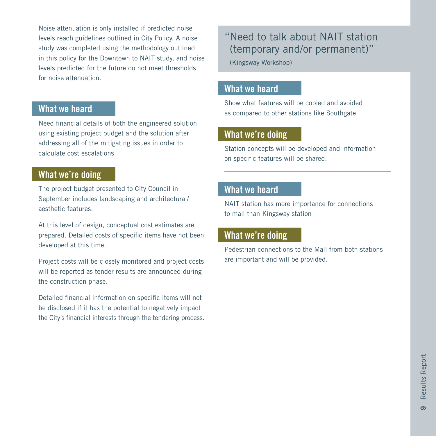Noise attenuation is only installed if predicted noise levels reach guidelines outlined in City Policy. A noise study was completed using the methodology outlined in this policy for the Downtown to NAIT study, and noise levels predicted for the future do not meet thresholds for noise attenuation.

### What we heard

Need financial details of both the engineered solution using existing project budget and the solution after addressing all of the mitigating issues in order to calculate cost escalations.

## What we're doing

The project budget presented to City Council in September includes landscaping and architectural/ aesthetic features.

At this level of design, conceptual cost estimates are prepared. Detailed costs of specific items have not been developed at this time.

Project costs will be closely monitored and project costs will be reported as tender results are announced during the construction phase.

Detailed financial information on specific items will not be disclosed if it has the potential to negatively impact the City's financial interests through the tendering process.

# "Need to talk about NAIT station (temporary and/or permanent)"

(Kingsway Workshop)

#### What we heard

Show what features will be copied and avoided as compared to other stations like Southgate

#### What we're doing

Station concepts will be developed and information on specific features will be shared.

### What we heard

NAIT station has more importance for connections to mall than Kingsway station

#### What we're doing

Pedestrian connections to the Mall from both stations are important and will be provided.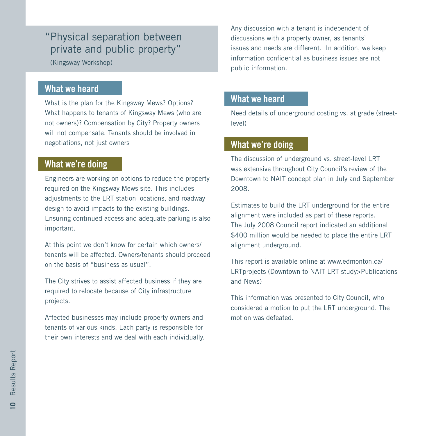# "Physical separation between private and public property"

(Kingsway Workshop)

#### What we heard

What is the plan for the Kingsway Mews? Options? What happens to tenants of Kingsway Mews (who are not owners)? Compensation by City? Property owners will not compensate. Tenants should be involved in negotiations, not just owners

## What we're doing

Engineers are working on options to reduce the property required on the Kingsway Mews site. This includes adjustments to the LRT station locations, and roadway design to avoid impacts to the existing buildings. Ensuring continued access and adequate parking is also important.

At this point we don't know for certain which owners/ tenants will be affected. Owners/tenants should proceed on the basis of "business as usual".

The City strives to assist affected business if they are required to relocate because of City infrastructure projects.

Affected businesses may include property owners and tenants of various kinds. Each party is responsible for their own interests and we deal with each individually. Any discussion with a tenant is independent of discussions with a property owner, as tenants' issues and needs are different. In addition, we keep information confidential as business issues are not public information.

# What we heard

Need details of underground costing vs. at grade (streetlevel)

#### What we're doing

The discussion of underground vs. street-level LRT was extensive throughout City Council's review of the Downtown to NAIT concept plan in July and September 2008.

Estimates to build the LRT underground for the entire alignment were included as part of these reports. The July 2008 Council report indicated an additional \$400 million would be needed to place the entire LRT alignment underground.

This report is available online at www.edmonton.ca/ LRTprojects (Downtown to NAIT LRT study>Publications and News)

This information was presented to City Council, who considered a motion to put the LRT underground. The motion was defeated.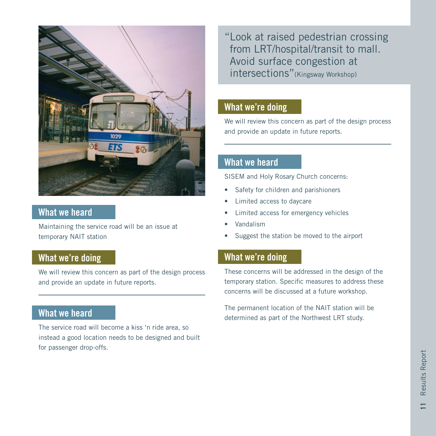

#### What we heard

Maintaining the service road will be an issue at temporary NAIT station

#### What we're doing

We will review this concern as part of the design process and provide an update in future reports.

# What we heard

The service road will become a kiss 'n ride area, so instead a good location needs to be designed and built for passenger drop-offs.

"Look at raised pedestrian crossing from LRT/hospital/transit to mall. Avoid surface congestion at intersections"(Kingsway Workshop)

#### What we're doing

We will review this concern as part of the design process and provide an update in future reports.

# What we heard

SISEM and Holy Rosary Church concerns:

- Safety for children and parishioners
- Limited access to daycare
- Limited access for emergency vehicles
- Vandalism
- Suggest the station be moved to the airport

#### What we're doing

These concerns will be addressed in the design of the temporary station. Specific measures to address these concerns will be discussed at a future workshop.

The permanent location of the NAIT station will be determined as part of the Northwest LRT study.